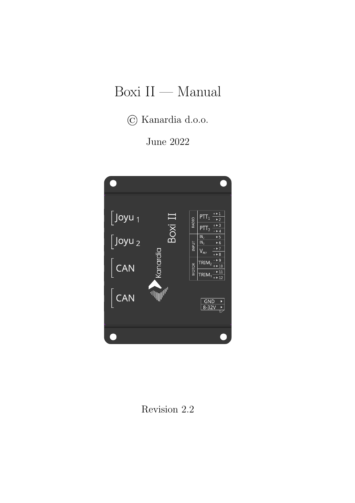# Boxi II — Manual

© Kanardia d.o.o.

June 2022



Revision 2.2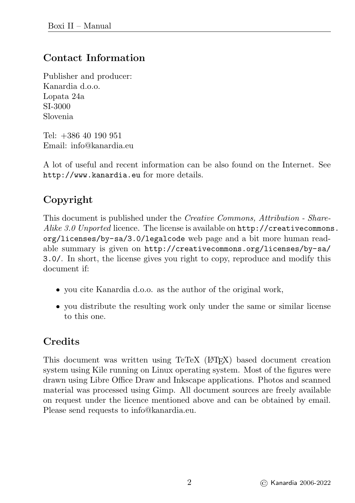## Contact Information

Publisher and producer: Kanardia d.o.o. Lopata 24a SI-3000 Slovenia

Tel: +386 40 190 951 Email: info@kanardia.eu

A lot of useful and recent information can be also found on the Internet. See <http://www.kanardia.eu> for more details.

## Copyright

This document is published under the Creative Commons, Attribution - ShareAlike 3.0 Unported licence. The license is available on [http://creativecommons](http://creativecommons.org/licenses/by-sa/3.0/legalcode). [org/licenses/by-sa/3.0/legalcode](http://creativecommons.org/licenses/by-sa/3.0/legalcode) web page and a bit more human readable summary is given on [http://creativecommons.org/licenses/by-sa/](http://creativecommons.org/licenses/by-sa/3.0/) [3.0/](http://creativecommons.org/licenses/by-sa/3.0/). In short, the license gives you right to copy, reproduce and modify this document if:

- you cite Kanardia d.o.o. as the author of the original work,
- you distribute the resulting work only under the same or similar license to this one.

## **Credits**

This document was written using TeTeX (LATEX) based document creation system using Kile running on Linux operating system. Most of the figures were drawn using Libre Office Draw and Inkscape applications. Photos and scanned material was processed using Gimp. All document sources are freely available on request under the licence mentioned above and can be obtained by email. Please send requests to info@kanardia.eu.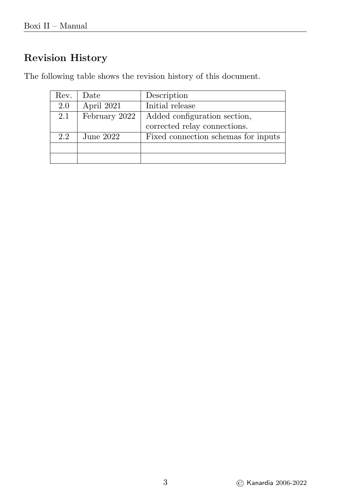## Revision History

The following table shows the revision history of this document.

| Rev. | Date          | Description                         |
|------|---------------|-------------------------------------|
| 2.0  | April 2021    | Initial release                     |
| 2.1  | February 2022 | Added configuration section,        |
|      |               | corrected relay connections.        |
| 2.2  | June $2022$   | Fixed connection schemas for inputs |
|      |               |                                     |
|      |               |                                     |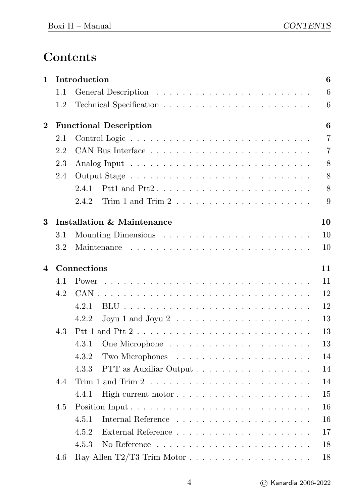## Contents

| 1        |         | Introduction                                                                          | 6              |
|----------|---------|---------------------------------------------------------------------------------------|----------------|
|          | 1.1     |                                                                                       | 6              |
|          | 1.2     |                                                                                       | $\,$ 6 $\,$    |
| $\bf{2}$ |         | <b>Functional Description</b>                                                         | 6              |
|          | 2.1     |                                                                                       | $\overline{7}$ |
|          | 2.2     |                                                                                       | $\overline{7}$ |
|          | 2.3     |                                                                                       | 8              |
|          | 2.4     |                                                                                       | 8              |
|          |         | 2.4.1                                                                                 | 8              |
|          |         | 2.4.2                                                                                 | 9              |
| 3        |         | <b>Installation &amp; Maintenance</b>                                                 | 10             |
|          | $3.1\,$ |                                                                                       | 10             |
|          | 3.2     |                                                                                       | 10             |
| 4        |         | Connections                                                                           | 11             |
|          | 4.1     | Power                                                                                 | 11             |
|          | 4.2     |                                                                                       | 12             |
|          |         | 4.2.1                                                                                 | 12             |
|          |         | 4.2.2<br>Joyu 1 and Joyu 2 $\dots \dots \dots \dots \dots \dots \dots \dots$          | 13             |
|          | 4.3     |                                                                                       | 13             |
|          |         | 4.3.1                                                                                 | 13             |
|          |         | 4.3.2                                                                                 | 14             |
|          |         | 4.3.3                                                                                 | 14             |
|          | 4.4     | Trim 1 and Trim 2 $\dots \dots \dots \dots \dots \dots \dots \dots \dots \dots \dots$ | 14             |
|          |         | 4.4.1                                                                                 | 15             |
|          | 4.5     |                                                                                       | 16             |
|          |         | 4.5.1                                                                                 | 16             |
|          |         | 4.5.2<br>External Reference $\ldots \ldots \ldots \ldots \ldots \ldots \ldots$        | 17             |
|          |         | 4.5.3                                                                                 | 18             |
|          | 4.6     |                                                                                       | 18             |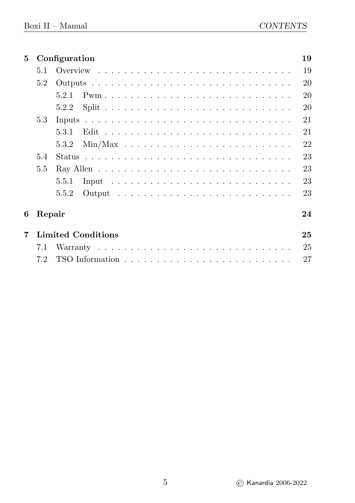|               |       | 19                                                   |
|---------------|-------|------------------------------------------------------|
| 5.1           |       | 19                                                   |
| 5.2           |       | 20                                                   |
|               | 5.2.1 | 20                                                   |
|               | 5.2.2 | 20                                                   |
| 5.3           |       | 21                                                   |
|               | 5.3.1 | 21                                                   |
|               | 5.3.2 | 22                                                   |
| 5.4           |       | 23                                                   |
| $5.5^{\circ}$ |       | 23                                                   |
|               | 5.5.1 | 23                                                   |
|               | 5.5.2 | 23                                                   |
|               |       | 24                                                   |
|               |       | 25                                                   |
| 7.1           |       | 25                                                   |
| 7.2           |       | 27                                                   |
|               |       | Configuration<br>Repair<br><b>Limited Conditions</b> |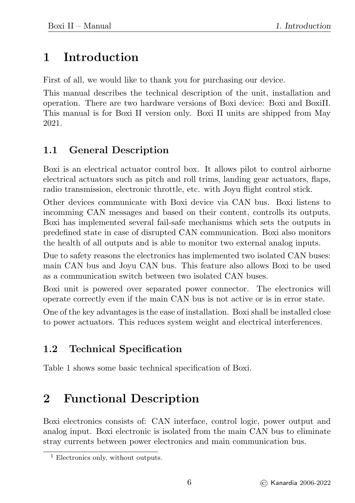# <span id="page-6-0"></span>1 Introduction

First of all, we would like to thank you for purchasing our device.

This manual describes the technical description of the unit, installation and operation. There are two hardware versions of Boxi device: Boxi and BoxiII. This manual is for Boxi II version only. Boxi II units are shipped from May 2021.

## <span id="page-6-1"></span>1.1 General Description

Boxi is an electrical actuator control box. It allows pilot to control airborne electrical actuators such as pitch and roll trims, landing gear actuators, flaps, radio transmission, electronic throttle, etc. with Joyu flight control stick.

Other devices communicate with Boxi device via CAN bus. Boxi listens to incomming CAN messages and based on their content, controlls its outputs. Boxi has implemented several fail-safe mechanisms which sets the outputs in predefined state in case of disrupted CAN communication. Boxi also monitors the health of all outputs and is able to monitor two external analog inputs.

Due to safety reasons the electronics has implemented two isolated CAN buses: main CAN bus and Joyu CAN bus. This feature also allows Boxi to be used as a communication switch between two isolated CAN buses.

Boxi unit is powered over separated power connector. The electronics will operate correctly even if the main CAN bus is not active or is in error state.

One of the key advantages is the ease of installation. Boxi shall be installed close to power actuators. This reduces system weight and electrical interferences.

## <span id="page-6-2"></span>1.2 Technical Specification

Table [1](#page-7-2) shows some basic technical specification of Boxi.

# <span id="page-6-3"></span>2 Functional Description

Boxi electronics consists of: CAN interface, control logic, power output and analog input. Boxi electronic is isolated from the main CAN bus to eliminate stray currents between power electronics and main communication bus.

<sup>&</sup>lt;sup>1</sup> Electronics only, without outputs.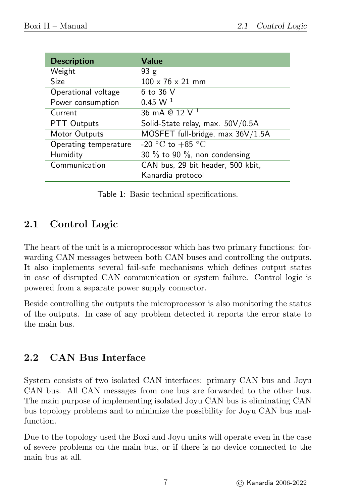<span id="page-7-2"></span>

| <b>Description</b>    | Value                               |
|-----------------------|-------------------------------------|
| Weight                | 93g                                 |
| Size                  | $100 \times 76 \times 21$ mm        |
| Operational voltage   | 6 to 36 V                           |
| Power consumption     | 0.45 W <sup>1</sup>                 |
| Current               | 36 mA @ 12 V <sup>1</sup>           |
| PTT Outputs           | Solid-State relay, max. 50V/0.5A    |
| Motor Outputs         | MOSFET full-bridge, max 36V/1.5A    |
| Operating temperature | -20 °C to +85 °C                    |
| Humidity              | 30 $\%$ to 90 $\%$ , non condensing |
| Communication         | CAN bus, 29 bit header, 500 kbit,   |
|                       | Kanardia protocol                   |

Table 1: Basic technical specifications.

## <span id="page-7-0"></span>2.1 Control Logic

The heart of the unit is a microprocessor which has two primary functions: forwarding CAN messages between both CAN buses and controlling the outputs. It also implements several fail-safe mechanisms which defines output states in case of disrupted CAN communication or system failure. Control logic is powered from a separate power supply connector.

Beside controlling the outputs the microprocessor is also monitoring the status of the outputs. In case of any problem detected it reports the error state to the main bus.

## <span id="page-7-1"></span>2.2 CAN Bus Interface

System consists of two isolated CAN interfaces: primary CAN bus and Joyu CAN bus. All CAN messages from one bus are forwarded to the other bus. The main purpose of implementing isolated Joyu CAN bus is eliminating CAN bus topology problems and to minimize the possibility for Joyu CAN bus malfunction.

Due to the topology used the Boxi and Joyu units will operate even in the case of severe problems on the main bus, or if there is no device connected to the main bus at all.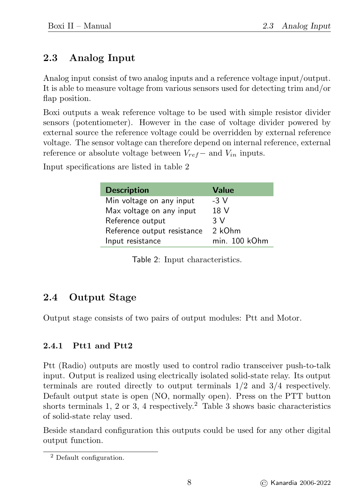## <span id="page-8-0"></span>2.3 Analog Input

Analog input consist of two analog inputs and a reference voltage input/output. It is able to measure voltage from various sensors used for detecting trim and/or flap position.

Boxi outputs a weak reference voltage to be used with simple resistor divider sensors (potentiometer). However in the case of voltage divider powered by external source the reference voltage could be overridden by external reference voltage. The sensor voltage can therefore depend on internal reference, external reference or absolute voltage between  $V_{ref}$  and  $V_{in}$  inputs.

<span id="page-8-3"></span>Input specifications are listed in table [2](#page-8-3)

| <b>Description</b>          | <b>Value</b>  |
|-----------------------------|---------------|
| Min voltage on any input    | $-3V$         |
| Max voltage on any input    | 18 V          |
| Reference output            | 3 V           |
| Reference output resistance | 2 kOhm        |
| Input resistance            | min. 100 kOhm |

Table 2: Input characteristics.

## <span id="page-8-1"></span>2.4 Output Stage

Output stage consists of two pairs of output modules: Ptt and Motor.

#### <span id="page-8-2"></span>2.4.1 Ptt1 and Ptt2

Ptt (Radio) outputs are mostly used to control radio transceiver push-to-talk input. Output is realized using electrically isolated solid-state relay. Its output terminals are routed directly to output terminals 1/2 and 3/4 respectively. Default output state is open (NO, normally open). Press on the PTT button shorts terminals 1, [2](#page-8-4) or [3](#page-9-1), 4 respectively.<sup>2</sup> Table 3 shows basic characteristics of solid-state relay used.

Beside standard configuration this outputs could be used for any other digital output function.

<span id="page-8-4"></span><sup>2</sup> Default configuration.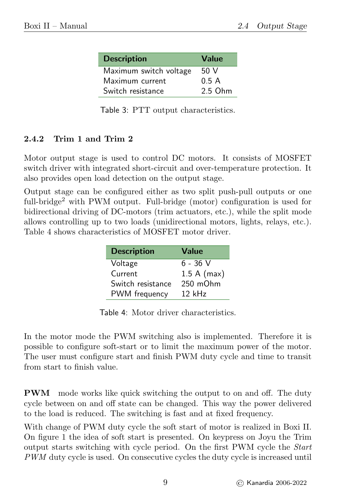<span id="page-9-1"></span>

| <b>Description</b>     | <b>Value</b> |
|------------------------|--------------|
| Maximum switch voltage | 50 V         |
| Maximum current        | 0.5A         |
| Switch resistance      | 2.5 Ohm      |

Table 3: PTT output characteristics.

#### <span id="page-9-0"></span>2.4.2 Trim 1 and Trim 2

Motor output stage is used to control DC motors. It consists of MOSFET switch driver with integrated short-circuit and over-temperature protection. It also provides open load detection on the output stage.

<span id="page-9-2"></span>Output stage can be configured either as two split push-pull outputs or one full-bridge<sup>2</sup> with PWM output. Full-bridge (motor) configuration is used for bidirectional driving of DC-motors (trim actuators, etc.), while the split mode allows controlling up to two loads (unidirectional motors, lights, relays, etc.). Table [4](#page-9-2) shows characteristics of MOSFET motor driver.

| <b>Description</b> | <b>Value</b>  |
|--------------------|---------------|
| Voltage            | $6 - 36$ V    |
| Current            | 1.5 A (max)   |
| Switch resistance  | $250$ m $Ohm$ |
| PWM frequency      | $12$ kHz      |

Table 4: Motor driver characteristics.

In the motor mode the PWM switching also is implemented. Therefore it is possible to configure soft-start or to limit the maximum power of the motor. The user must configure start and finish PWM duty cycle and time to transit from start to finish value.

PWM mode works like quick switching the output to on and off. The duty cycle between on and off state can be changed. This way the power delivered to the load is reduced. The switching is fast and at fixed frequency.

With change of PWM duty cycle the soft start of motor is realized in Boxi II. On figure [1](#page-10-3) the idea of soft start is presented. On keypress on Joyu the Trim output starts switching with cycle period. On the first PWM cycle the Start PWM duty cycle is used. On consecutive cycles the duty cycle is increased until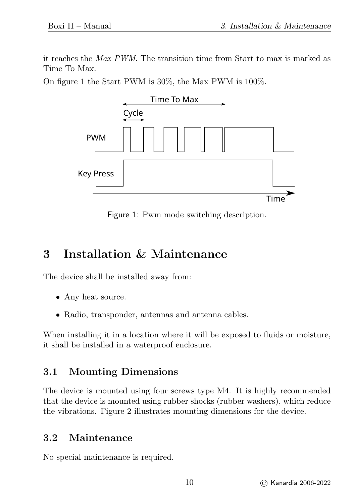it reaches the Max PWM. The transition time from Start to max is marked as Time To Max.

<span id="page-10-3"></span>On figure [1](#page-10-3) the Start PWM is 30%, the Max PWM is 100%.



Figure 1: Pwm mode switching description.

## <span id="page-10-0"></span>3 Installation & Maintenance

The device shall be installed away from:

- Any heat source.
- Radio, transponder, antennas and antenna cables.

When installing it in a location where it will be exposed to fluids or moisture, it shall be installed in a waterproof enclosure.

## <span id="page-10-1"></span>3.1 Mounting Dimensions

The device is mounted using four screws type M4. It is highly recommended that the device is mounted using rubber shocks (rubber washers), which reduce the vibrations. Figure [2](#page-11-2) illustrates mounting dimensions for the device.

## <span id="page-10-2"></span>3.2 Maintenance

No special maintenance is required.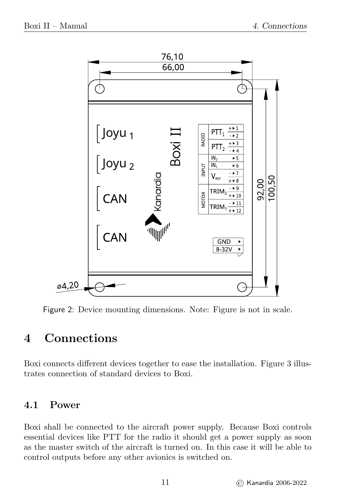<span id="page-11-2"></span>

Figure 2: Device mounting dimensions. Note: Figure is not in scale.

## <span id="page-11-0"></span>4 Connections

Boxi connects different devices together to ease the installation. Figure [3](#page-12-2) illustrates connection of standard devices to Boxi.

### <span id="page-11-1"></span>4.1 Power

Boxi shall be connected to the aircraft power supply. Because Boxi controls essential devices like PTT for the radio it should get a power supply as soon as the master switch of the aircraft is turned on. In this case it will be able to control outputs before any other avionics is switched on.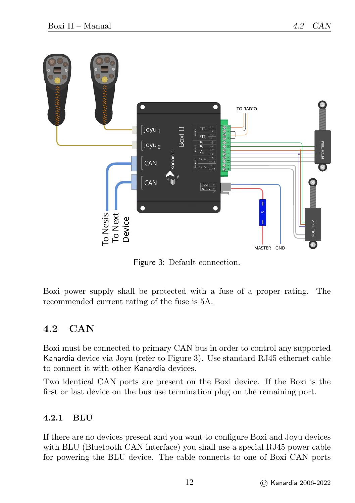<span id="page-12-2"></span>

Figure 3: Default connection.

Boxi power supply shall be protected with a fuse of a proper rating. The recommended current rating of the fuse is 5A.

### <span id="page-12-0"></span>4.2 CAN

Boxi must be connected to primary CAN bus in order to control any supported Kanardia device via Joyu (refer to Figure [3\)](#page-12-2). Use standard RJ45 ethernet cable to connect it with other Kanardia devices.

Two identical CAN ports are present on the Boxi device. If the Boxi is the first or last device on the bus use termination plug on the remaining port.

#### <span id="page-12-1"></span>4.2.1 BLU

If there are no devices present and you want to configure Boxi and Joyu devices with BLU (Bluetooth CAN interface) you shall use a special RJ45 power cable for powering the BLU device. The cable connects to one of Boxi CAN ports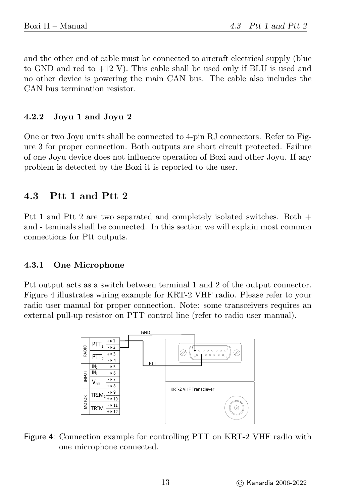and the other end of cable must be connected to aircraft electrical supply (blue to GND and red to  $+12$  V). This cable shall be used only if BLU is used and no other device is powering the main CAN bus. The cable also includes the CAN bus termination resistor.

#### <span id="page-13-0"></span>4.2.2 Joyu 1 and Joyu 2

One or two Joyu units shall be connected to 4-pin RJ connectors. Refer to Figure [3](#page-12-2) for proper connection. Both outputs are short circuit protected. Failure of one Joyu device does not influence operation of Boxi and other Joyu. If any problem is detected by the Boxi it is reported to the user.

## <span id="page-13-1"></span>4.3 Ptt 1 and Ptt 2

Ptt 1 and Ptt 2 are two separated and completely isolated switches. Both + and - teminals shall be connected. In this section we will explain most common connections for Ptt outputs.

#### <span id="page-13-2"></span>4.3.1 One Microphone

<span id="page-13-3"></span>Ptt output acts as a switch between terminal 1 and 2 of the output connector. Figure [4](#page-13-3) illustrates wiring example for KRT-2 VHF radio. Please refer to your radio user manual for proper connection. Note: some transceivers requires an external pull-up resistor on PTT control line (refer to radio user manual).



Figure 4: Connection example for controlling PTT on KRT-2 VHF radio with one microphone connected.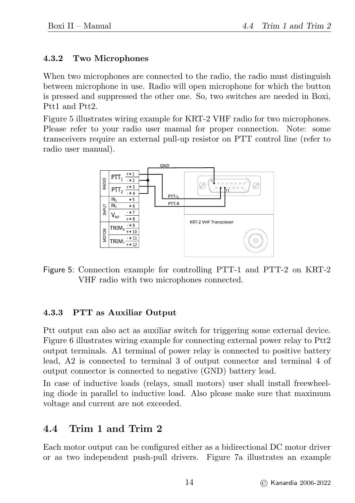#### <span id="page-14-0"></span>4.3.2 Two Microphones

When two microphones are connected to the radio, the radio must distinguish between microphone in use. Radio will open microphone for which the button is pressed and suppressed the other one. So, two switches are needed in Boxi, Ptt1 and Ptt2.

<span id="page-14-3"></span>Figure [5](#page-14-3) illustrates wiring example for KRT-2 VHF radio for two microphones. Please refer to your radio user manual for proper connection. Note: some transceivers require an external pull-up resistor on PTT control line (refer to radio user manual).



Figure 5: Connection example for controlling PTT-1 and PTT-2 on KRT-2 VHF radio with two microphones connected.

#### <span id="page-14-1"></span>4.3.3 PTT as Auxiliar Output

Ptt output can also act as auxiliar switch for triggering some external device. Figure [6](#page-15-1) illustrates wiring example for connecting external power relay to Ptt2 output terminals. A1 terminal of power relay is connected to positive battery lead, A2 is connected to terminal 3 of output connector and terminal 4 of output connector is connected to negative (GND) battery lead.

In case of inductive loads (relays, small motors) user shall install freewheeling diode in parallel to inductive load. Also please make sure that maximum voltage and current are not exceeded.

## <span id="page-14-2"></span>4.4 Trim 1 and Trim 2

Each motor output can be configured either as a bidirectional DC motor driver or as two independent push-pull drivers. Figure [7a](#page-15-2) illustrates an example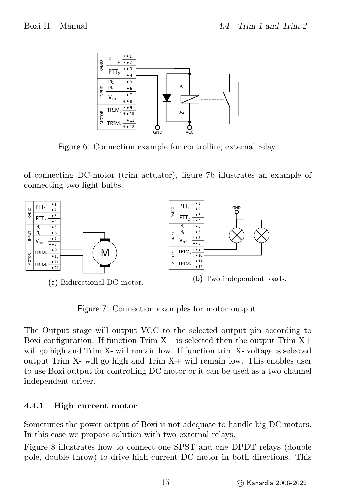<span id="page-15-1"></span>

Figure 6: Connection example for controlling external relay.

of connecting DC-motor (trim actuator), figure [7b](#page-15-2) illustrates an example of connecting two light bulbs.

<span id="page-15-2"></span>

Figure 7: Connection examples for motor output.

The Output stage will output VCC to the selected output pin according to Boxi configuration. If function Trim  $X+$  is selected then the output Trim  $X+$ will go high and Trim X- will remain low. If function trim X- voltage is selected output Trim  $X$ - will go high and Trim  $X$ + will remain low. This enables user to use Boxi output for controlling DC motor or it can be used as a two channel independent driver.

#### <span id="page-15-0"></span>4.4.1 High current motor

Sometimes the power output of Boxi is not adequate to handle big DC motors. In this case we propose solution with two external relays.

Figure [8](#page-16-2) illustrates how to connect one SPST and one DPDT relays (double pole, double throw) to drive high current DC motor in both directions. This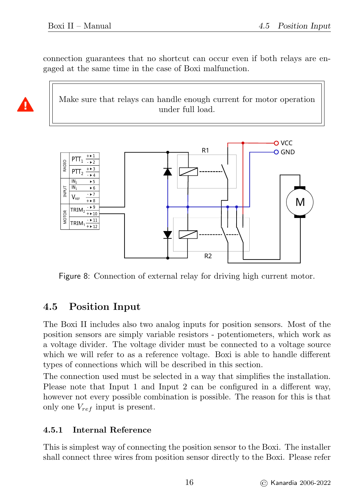Δ

connection guarantees that no shortcut can occur even if both relays are engaged at the same time in the case of Boxi malfunction.

Make sure that relays can handle enough current for motor operation under full load.

<span id="page-16-2"></span>

Figure 8: Connection of external relay for driving high current motor.

## <span id="page-16-0"></span>4.5 Position Input

The Boxi II includes also two analog inputs for position sensors. Most of the position sensors are simply variable resistors - potentiometers, which work as a voltage divider. The voltage divider must be connected to a voltage source which we will refer to as a reference voltage. Boxi is able to handle different types of connections which will be described in this section.

The connection used must be selected in a way that simplifies the installation. Please note that Input 1 and Input 2 can be configured in a different way, however not every possible combination is possible. The reason for this is that only one  $V_{ref}$  input is present.

#### <span id="page-16-1"></span>4.5.1 Internal Reference

This is simplest way of connecting the position sensor to the Boxi. The installer shall connect three wires from position sensor directly to the Boxi. Please refer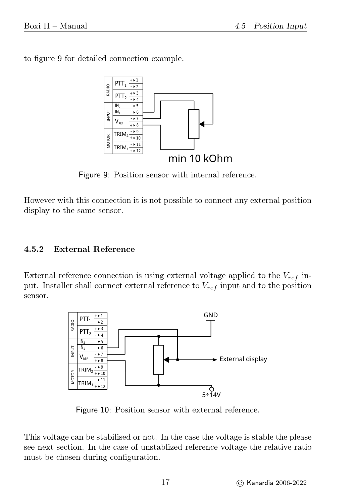<span id="page-17-1"></span>to figure [9](#page-17-1) for detailed connection example.



Figure 9: Position sensor with internal reference.

However with this connection it is not possible to connect any external position display to the same sensor.

#### <span id="page-17-0"></span>4.5.2 External Reference

External reference connection is using external voltage applied to the  $V_{ref}$  input. Installer shall connect external reference to  $V_{ref}$  input and to the position sensor.



Figure 10: Position sensor with external reference.

This voltage can be stabilised or not. In the case the voltage is stable the please see next section. In the case of unstablized reference voltage the relative ratio must be chosen during configuration.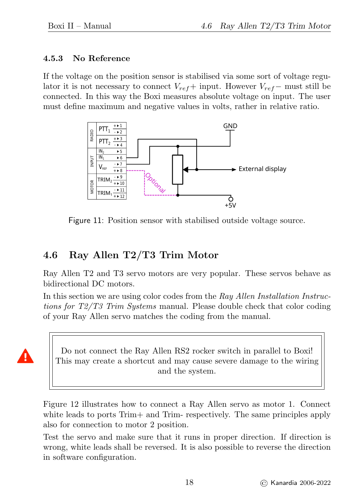4

#### <span id="page-18-0"></span>4.5.3 No Reference

If the voltage on the position sensor is stabilised via some sort of voltage regulator it is not necessary to connect  $V_{ref}$ + input. However  $V_{ref}-$  must still be connected. In this way the Boxi measures absolute voltage on input. The user must define maximum and negative values in volts, rather in relative ratio.



Figure 11: Position sensor with stabilised outside voltage source.

### <span id="page-18-1"></span>4.6 Ray Allen T2/T3 Trim Motor

Ray Allen T2 and T3 servo motors are very popular. These servos behave as bidirectional DC motors.

In this section we are using color codes from the Ray Allen Installation Instructions for T2/T3 Trim Systems manual. Please double check that color coding of your Ray Allen servo matches the coding from the manual.

Do not connect the Ray Allen RS2 rocker switch in parallel to Boxi! This may create a shortcut and may cause severe damage to the wiring and the system.

Figure [12](#page-19-2) illustrates how to connect a Ray Allen servo as motor 1. Connect white leads to ports Trim+ and Trim- respectively. The same principles apply also for connection to motor 2 position.

Test the servo and make sure that it runs in proper direction. If direction is wrong, white leads shall be reversed. It is also possible to reverse the direction in software configuration.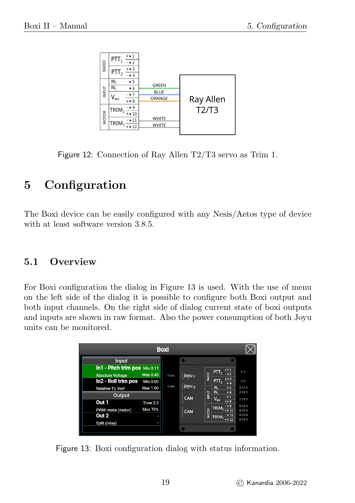<span id="page-19-2"></span>

Figure 12: Connection of Ray Allen T2/T3 servo as Trim 1.

# <span id="page-19-0"></span>5 Configuration

The Boxi device can be easily configured with any Nesis/Aetos type of device with at least software version  $3.8.5$ .

## <span id="page-19-1"></span>5.1 Overview

For Boxi configuration the dialog in Figure [13](#page-19-3) is used. With the use of menu on the left side of the dialog it is possible to configure both Boxi output and both input channels. On the right side of dialog current state of boxi outputs and inputs are shown in raw format. Also the power consumption of both Joyu units can be monitored.

<span id="page-19-3"></span>

|                                                          |                                    | <b>Boxi</b>      |                          |                                                                                                       |                         |
|----------------------------------------------------------|------------------------------------|------------------|--------------------------|-------------------------------------------------------------------------------------------------------|-------------------------|
| Input                                                    |                                    |                  |                          |                                                                                                       |                         |
| In1 - Pitch trim pos Min 0.11<br><b>Absolute Voltage</b> | <b>Max 0.40</b>                    | 0 <sub>mA</sub>  | $\int$ Joyu <sub>1</sub> | $PTT_1 \frac{+1}{2}$<br>RADIO                                                                         | 0%                      |
| In2 - Roll trim pos<br><b>Relative To Vref</b>           | <b>Min 0.00</b><br><b>Max 1.00</b> | 0 <sub>m</sub> A | $\sqrt{\frac{1}{2}}$     | $\frac{+13}{-14}$<br>PTT <sub>2</sub><br>IN <sub>2</sub><br>5 <sub>5</sub><br>IN <sub>1</sub><br>$+6$ | 0%<br>0.55V<br>0.56V    |
| <b>Output</b><br>Out 1                                   | <b>Time 2.5</b>                    |                  | CAN                      | <b>INPUT</b><br>$-127$<br>$V_{\text{err}}$<br>$++8$                                                   | 2.98 V<br>0.00A         |
| PWM mode (motor)<br>Out <sub>2</sub>                     | Max 70%                            |                  | CAN                      | - > 9<br>TRIM <sub>2</sub><br><b>MOTOR</b><br>$+ 10$<br>211<br>TRIM.<br>$+ 12$                        | 0.00A<br>0.00A<br>0.00A |
| Split (relay)                                            |                                    |                  |                          |                                                                                                       |                         |

Figure 13: Boxi configuration dialog with status information.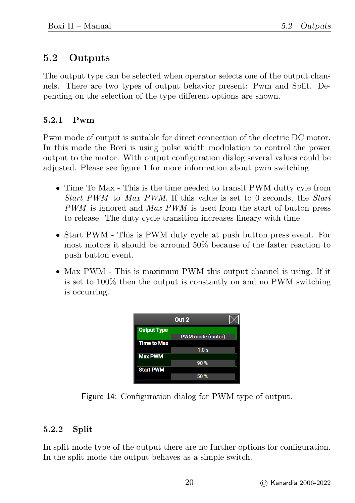## <span id="page-20-0"></span>5.2 Outputs

The output type can be selected when operator selects one of the output channels. There are two types of output behavior present: Pwm and Split. Depending on the selection of the type different options are shown.

#### <span id="page-20-1"></span>5.2.1 Pwm

Pwm mode of output is suitable for direct connection of the electric DC motor. In this mode the Boxi is using pulse width modulation to control the power output to the motor. With output configuration dialog several values could be adjusted. Please see figure [1](#page-10-3) for more information about pwm switching.

- Time To Max This is the time needed to transit PWM dutty cyle from Start PWM to Max PWM. If this value is set to 0 seconds, the Start PWM is ignored and Max PWM is used from the start of button press to release. The duty cycle transition increases lineary with time.
- Start PWM This is PWM duty cycle at push button press event. For most motors it should be arround 50% because of the faster reaction to push button event.
- Max PWM This is maximum PWM this output channel is using. If it is set to 100% then the output is constantly on and no PWM switching is occurring.

|                    | Out <sub>2</sub> |  |
|--------------------|------------------|--|
| <b>Output Type</b> | PWM mode (motor) |  |
| <b>Time to Max</b> | 1.0 s            |  |
| <b>Max PWM</b>     | 90%              |  |
| <b>Start PWM</b>   | 50%              |  |

Figure 14: Configuration dialog for PWM type of output.

#### <span id="page-20-2"></span>5.2.2 Split

In split mode type of the output there are no further options for configuration. In the split mode the output behaves as a simple switch.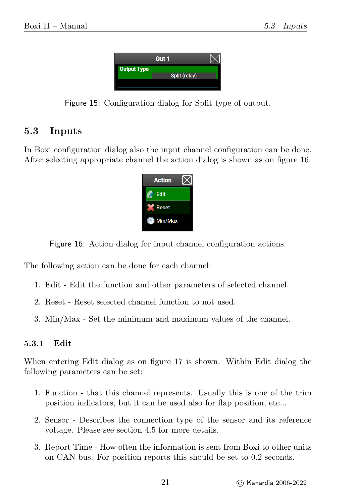

Figure 15: Configuration dialog for Split type of output.

## <span id="page-21-0"></span>5.3 Inputs

<span id="page-21-2"></span>In Boxi configuration dialog also the input channel configuration can be done. After selecting appropriate channel the action dialog is shown as on figure [16.](#page-21-2)



Figure 16: Action dialog for input channel configuration actions.

The following action can be done for each channel:

- 1. Edit Edit the function and other parameters of selected channel.
- 2. Reset Reset selected channel function to not used.
- 3. Min/Max Set the minimum and maximum values of the channel.

#### <span id="page-21-1"></span>5.3.1 Edit

When entering Edit dialog as on figure [17](#page-22-1) is shown. Within Edit dialog the following parameters can be set:

- 1. Function that this channel represents. Usually this is one of the trim position indicators, but it can be used also for flap position, etc...
- 2. Sensor Describes the connection type of the sensor and its reference voltage. Please see section [4.5](#page-16-0) for more details.
- 3. Report Time How often the information is sent from Boxi to other units on CAN bus. For position reports this should be set to 0.2 seconds.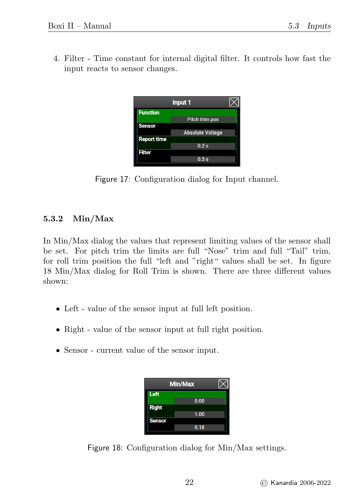<span id="page-22-1"></span>4. Filter - Time constant for internal digital filter. It controls how fast the input reacts to sensor changes.

|                    | Input 1                 |  |
|--------------------|-------------------------|--|
| <b>Function</b>    |                         |  |
|                    | Pitch trim pos          |  |
| <b>Sensor</b>      |                         |  |
|                    | <b>Absolute Voltage</b> |  |
| <b>Report time</b> |                         |  |
|                    | 0.2s                    |  |
| <b>Filter</b>      |                         |  |
|                    | 0.5s                    |  |
|                    |                         |  |

Figure 17: Configuration dialog for Input channel.

#### <span id="page-22-0"></span>5.3.2 Min/Max

In Min/Max dialog the values that represent limiting values of the sensor shall be set. For pitch trim the limits are full "Nose" trim and full "Tail" trim, for roll trim position the full "left and "right" values shall be set. In figure [18](#page-22-2) Min/Max dialog for Roll Trim is shown. There are three different values shown:

- Left value of the sensor input at full left position.
- Right value of the sensor input at full right position.
- <span id="page-22-2"></span>Sensor - current value of the sensor input.

|               | <b>Min/Max</b> |  |
|---------------|----------------|--|
| Left          |                |  |
|               | 0.00           |  |
| <b>Right</b>  |                |  |
|               | 1.00           |  |
| <b>Sensor</b> |                |  |
|               | 0.18           |  |
|               |                |  |

Figure 18: Configuration dialog for Min/Max settings.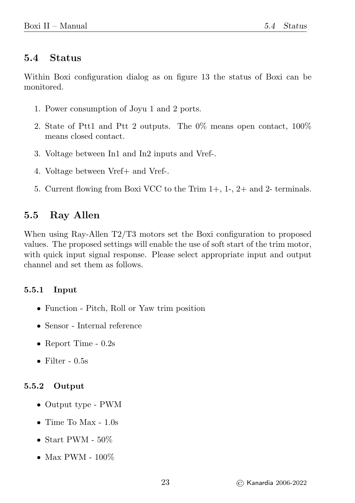#### <span id="page-23-0"></span>5.4 Status

Within Boxi configuration dialog as on figure [13](#page-19-3) the status of Boxi can be monitored.

- 1. Power consumption of Joyu 1 and 2 ports.
- 2. State of Ptt1 and Ptt 2 outputs. The 0% means open contact, 100% means closed contact.
- 3. Voltage between In1 and In2 inputs and Vref-.
- 4. Voltage between Vref+ and Vref-.
- 5. Current flowing from Boxi VCC to the Trim 1+, 1-, 2+ and 2- terminals.

## <span id="page-23-1"></span>5.5 Ray Allen

When using Ray-Allen T2/T3 motors set the Boxi configuration to proposed values. The proposed settings will enable the use of soft start of the trim motor, with quick input signal response. Please select appropriate input and output channel and set them as follows.

#### <span id="page-23-2"></span>5.5.1 Input

- Function Pitch, Roll or Yaw trim position
- Sensor Internal reference
- Report Time  $0.2s$
- Filter  $0.5s$

#### <span id="page-23-3"></span>5.5.2 Output

- Output type PWM
- $\bullet$  Time To Max 1.0s
- Start PWM  $50\%$
- Max PWM  $100\%$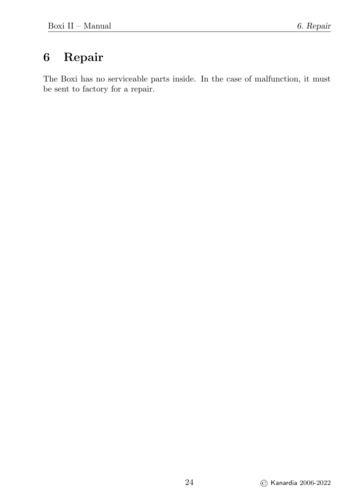# <span id="page-24-0"></span>6 Repair

The Boxi has no serviceable parts inside. In the case of malfunction, it must be sent to factory for a repair.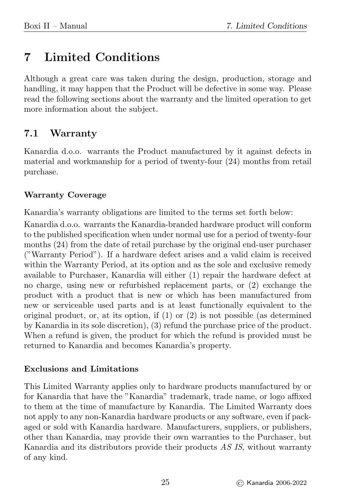## <span id="page-25-0"></span>7 Limited Conditions

Although a great care was taken during the design, production, storage and handling, it may happen that the Product will be defective in some way. Please read the following sections about the warranty and the limited operation to get more information about the subject.

## <span id="page-25-1"></span>7.1 Warranty

Kanardia d.o.o. warrants the Product manufactured by it against defects in material and workmanship for a period of twenty-four (24) months from retail purchase.

#### Warranty Coverage

Kanardia's warranty obligations are limited to the terms set forth below:

Kanardia d.o.o. warrants the Kanardia-branded hardware product will conform to the published specification when under normal use for a period of twenty-four months (24) from the date of retail purchase by the original end-user purchaser ("Warranty Period"). If a hardware defect arises and a valid claim is received within the Warranty Period, at its option and as the sole and exclusive remedy available to Purchaser, Kanardia will either (1) repair the hardware defect at no charge, using new or refurbished replacement parts, or (2) exchange the product with a product that is new or which has been manufactured from new or serviceable used parts and is at least functionally equivalent to the original product, or, at its option, if (1) or (2) is not possible (as determined by Kanardia in its sole discretion), (3) refund the purchase price of the product. When a refund is given, the product for which the refund is provided must be returned to Kanardia and becomes Kanardia's property.

#### Exclusions and Limitations

This Limited Warranty applies only to hardware products manufactured by or for Kanardia that have the "Kanardia" trademark, trade name, or logo affixed to them at the time of manufacture by Kanardia. The Limited Warranty does not apply to any non-Kanardia hardware products or any software, even if packaged or sold with Kanardia hardware. Manufacturers, suppliers, or publishers, other than Kanardia, may provide their own warranties to the Purchaser, but Kanardia and its distributors provide their products AS IS, without warranty of any kind.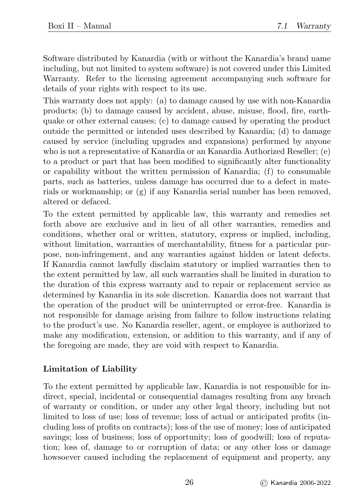Software distributed by Kanardia (with or without the Kanardia's brand name including, but not limited to system software) is not covered under this Limited Warranty. Refer to the licensing agreement accompanying such software for details of your rights with respect to its use.

This warranty does not apply: (a) to damage caused by use with non-Kanardia products; (b) to damage caused by accident, abuse, misuse, flood, fire, earthquake or other external causes; (c) to damage caused by operating the product outside the permitted or intended uses described by Kanardia; (d) to damage caused by service (including upgrades and expansions) performed by anyone who is not a representative of Kanardia or an Kanardia Authorized Reseller; (e) to a product or part that has been modified to significantly alter functionality or capability without the written permission of Kanardia; (f) to consumable parts, such as batteries, unless damage has occurred due to a defect in materials or workmanship; or  $(g)$  if any Kanardia serial number has been removed, altered or defaced.

To the extent permitted by applicable law, this warranty and remedies set forth above are exclusive and in lieu of all other warranties, remedies and conditions, whether oral or written, statutory, express or implied, including, without limitation, warranties of merchantability, fitness for a particular purpose, non-infringement, and any warranties against hidden or latent defects. If Kanardia cannot lawfully disclaim statutory or implied warranties then to the extent permitted by law, all such warranties shall be limited in duration to the duration of this express warranty and to repair or replacement service as determined by Kanardia in its sole discretion. Kanardia does not warrant that the operation of the product will be uninterrupted or error-free. Kanardia is not responsible for damage arising from failure to follow instructions relating to the product's use. No Kanardia reseller, agent, or employee is authorized to make any modification, extension, or addition to this warranty, and if any of the foregoing are made, they are void with respect to Kanardia.

#### Limitation of Liability

To the extent permitted by applicable law, Kanardia is not responsible for indirect, special, incidental or consequential damages resulting from any breach of warranty or condition, or under any other legal theory, including but not limited to loss of use; loss of revenue; loss of actual or anticipated profits (including loss of profits on contracts); loss of the use of money; loss of anticipated savings; loss of business; loss of opportunity; loss of goodwill; loss of reputation; loss of, damage to or corruption of data; or any other loss or damage howsoever caused including the replacement of equipment and property, any